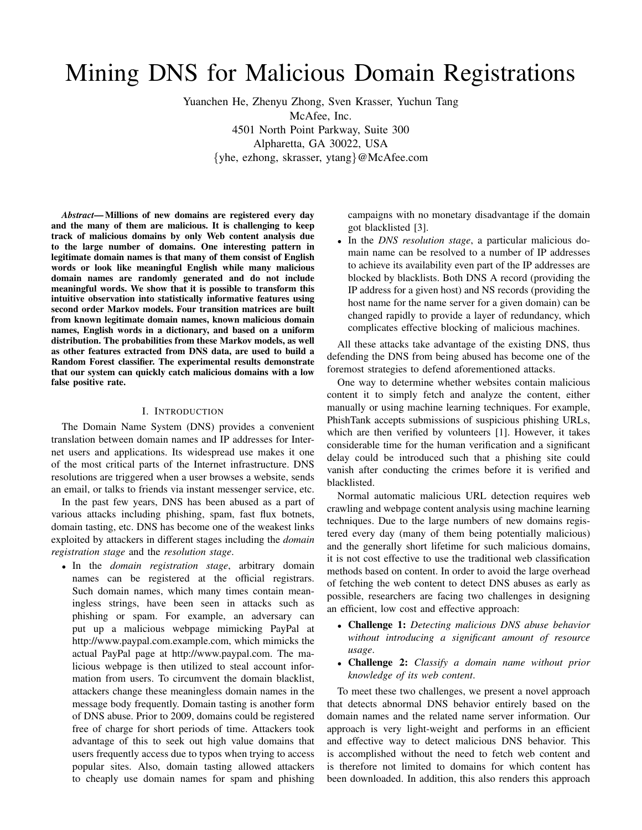# Mining DNS for Malicious Domain Registrations

Yuanchen He, Zhenyu Zhong, Sven Krasser, Yuchun Tang McAfee, Inc. 4501 North Point Parkway, Suite 300 Alpharetta, GA 30022, USA {yhe, ezhong, skrasser, ytang}@McAfee.com

*Abstract*— Millions of new domains are registered every day and the many of them are malicious. It is challenging to keep track of malicious domains by only Web content analysis due to the large number of domains. One interesting pattern in legitimate domain names is that many of them consist of English words or look like meaningful English while many malicious domain names are randomly generated and do not include meaningful words. We show that it is possible to transform this intuitive observation into statistically informative features using second order Markov models. Four transition matrices are built from known legitimate domain names, known malicious domain names, English words in a dictionary, and based on a uniform distribution. The probabilities from these Markov models, as well as other features extracted from DNS data, are used to build a Random Forest classifier. The experimental results demonstrate that our system can quickly catch malicious domains with a low false positive rate.

#### I. INTRODUCTION

The Domain Name System (DNS) provides a convenient translation between domain names and IP addresses for Internet users and applications. Its widespread use makes it one of the most critical parts of the Internet infrastructure. DNS resolutions are triggered when a user browses a website, sends an email, or talks to friends via instant messenger service, etc.

In the past few years, DNS has been abused as a part of various attacks including phishing, spam, fast flux botnets, domain tasting, etc. DNS has become one of the weakest links exploited by attackers in different stages including the *domain registration stage* and the *resolution stage*.

• In the *domain registration stage*, arbitrary domain names can be registered at the official registrars. Such domain names, which many times contain meaningless strings, have been seen in attacks such as phishing or spam. For example, an adversary can put up a malicious webpage mimicking PayPal at http://www.paypal.com.example.com, which mimicks the actual PayPal page at http://www.paypal.com. The malicious webpage is then utilized to steal account information from users. To circumvent the domain blacklist, attackers change these meaningless domain names in the message body frequently. Domain tasting is another form of DNS abuse. Prior to 2009, domains could be registered free of charge for short periods of time. Attackers took advantage of this to seek out high value domains that users frequently access due to typos when trying to access popular sites. Also, domain tasting allowed attackers to cheaply use domain names for spam and phishing campaigns with no monetary disadvantage if the domain got blacklisted [3].

• In the *DNS resolution stage*, a particular malicious domain name can be resolved to a number of IP addresses to achieve its availability even part of the IP addresses are blocked by blacklists. Both DNS A record (providing the IP address for a given host) and NS records (providing the host name for the name server for a given domain) can be changed rapidly to provide a layer of redundancy, which complicates effective blocking of malicious machines.

All these attacks take advantage of the existing DNS, thus defending the DNS from being abused has become one of the foremost strategies to defend aforementioned attacks.

One way to determine whether websites contain malicious content it to simply fetch and analyze the content, either manually or using machine learning techniques. For example, PhishTank accepts submissions of suspicious phishing URLs, which are then verified by volunteers [1]. However, it takes considerable time for the human verification and a significant delay could be introduced such that a phishing site could vanish after conducting the crimes before it is verified and blacklisted.

Normal automatic malicious URL detection requires web crawling and webpage content analysis using machine learning techniques. Due to the large numbers of new domains registered every day (many of them being potentially malicious) and the generally short lifetime for such malicious domains, it is not cost effective to use the traditional web classification methods based on content. In order to avoid the large overhead of fetching the web content to detect DNS abuses as early as possible, researchers are facing two challenges in designing an efficient, low cost and effective approach:

- Challenge 1: *Detecting malicious DNS abuse behavior without introducing a significant amount of resource usage*.
- Challenge 2: *Classify a domain name without prior knowledge of its web content*.

To meet these two challenges, we present a novel approach that detects abnormal DNS behavior entirely based on the domain names and the related name server information. Our approach is very light-weight and performs in an efficient and effective way to detect malicious DNS behavior. This is accomplished without the need to fetch web content and is therefore not limited to domains for which content has been downloaded. In addition, this also renders this approach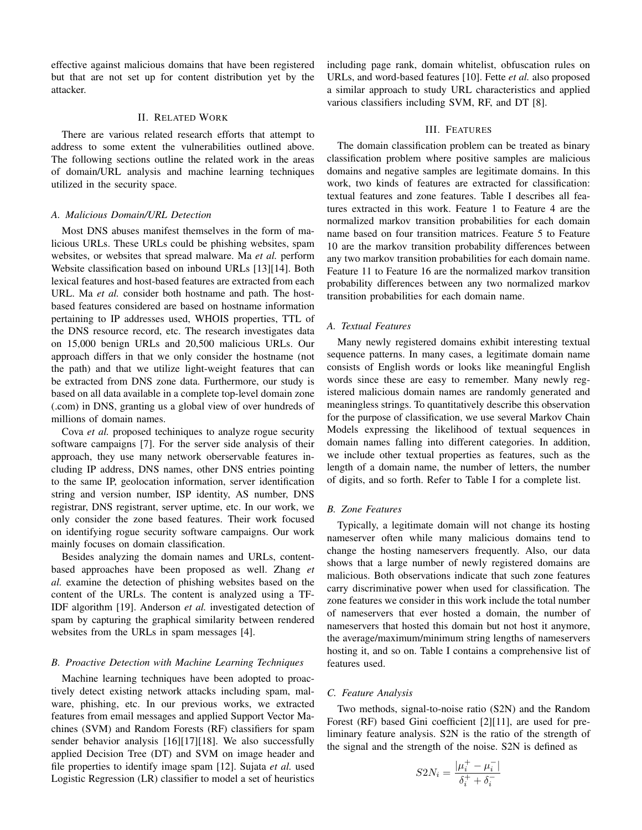effective against malicious domains that have been registered but that are not set up for content distribution yet by the attacker.

#### II. RELATED WORK

There are various related research efforts that attempt to address to some extent the vulnerabilities outlined above. The following sections outline the related work in the areas of domain/URL analysis and machine learning techniques utilized in the security space.

# *A. Malicious Domain/URL Detection*

Most DNS abuses manifest themselves in the form of malicious URLs. These URLs could be phishing websites, spam websites, or websites that spread malware. Ma *et al.* perform Website classification based on inbound URLs [13][14]. Both lexical features and host-based features are extracted from each URL. Ma *et al.* consider both hostname and path. The hostbased features considered are based on hostname information pertaining to IP addresses used, WHOIS properties, TTL of the DNS resource record, etc. The research investigates data on 15,000 benign URLs and 20,500 malicious URLs. Our approach differs in that we only consider the hostname (not the path) and that we utilize light-weight features that can be extracted from DNS zone data. Furthermore, our study is based on all data available in a complete top-level domain zone (.com) in DNS, granting us a global view of over hundreds of millions of domain names.

Cova *et al.* proposed techiniques to analyze rogue security software campaigns [7]. For the server side analysis of their approach, they use many network oberservable features including IP address, DNS names, other DNS entries pointing to the same IP, geolocation information, server identification string and version number, ISP identity, AS number, DNS registrar, DNS registrant, server uptime, etc. In our work, we only consider the zone based features. Their work focused on identifying rogue security software campaigns. Our work mainly focuses on domain classification.

Besides analyzing the domain names and URLs, contentbased approaches have been proposed as well. Zhang *et al.* examine the detection of phishing websites based on the content of the URLs. The content is analyzed using a TF-IDF algorithm [19]. Anderson *et al.* investigated detection of spam by capturing the graphical similarity between rendered websites from the URLs in spam messages [4].

#### *B. Proactive Detection with Machine Learning Techniques*

Machine learning techniques have been adopted to proactively detect existing network attacks including spam, malware, phishing, etc. In our previous works, we extracted features from email messages and applied Support Vector Machines (SVM) and Random Forests (RF) classifiers for spam sender behavior analysis [16][17][18]. We also successfully applied Decision Tree (DT) and SVM on image header and file properties to identify image spam [12]. Sujata *et al.* used Logistic Regression (LR) classifier to model a set of heuristics including page rank, domain whitelist, obfuscation rules on URLs, and word-based features [10]. Fette *et al.* also proposed a similar approach to study URL characteristics and applied various classifiers including SVM, RF, and DT [8].

# III. FEATURES

The domain classification problem can be treated as binary classification problem where positive samples are malicious domains and negative samples are legitimate domains. In this work, two kinds of features are extracted for classification: textual features and zone features. Table I describes all features extracted in this work. Feature 1 to Feature 4 are the normalized markov transition probabilities for each domain name based on four transition matrices. Feature 5 to Feature 10 are the markov transition probability differences between any two markov transition probabilities for each domain name. Feature 11 to Feature 16 are the normalized markov transition probability differences between any two normalized markov transition probabilities for each domain name.

#### *A. Textual Features*

Many newly registered domains exhibit interesting textual sequence patterns. In many cases, a legitimate domain name consists of English words or looks like meaningful English words since these are easy to remember. Many newly registered malicious domain names are randomly generated and meaningless strings. To quantitatively describe this observation for the purpose of classification, we use several Markov Chain Models expressing the likelihood of textual sequences in domain names falling into different categories. In addition, we include other textual properties as features, such as the length of a domain name, the number of letters, the number of digits, and so forth. Refer to Table I for a complete list.

#### *B. Zone Features*

Typically, a legitimate domain will not change its hosting nameserver often while many malicious domains tend to change the hosting nameservers frequently. Also, our data shows that a large number of newly registered domains are malicious. Both observations indicate that such zone features carry discriminative power when used for classification. The zone features we consider in this work include the total number of nameservers that ever hosted a domain, the number of nameservers that hosted this domain but not host it anymore, the average/maximum/minimum string lengths of nameservers hosting it, and so on. Table I contains a comprehensive list of features used.

# *C. Feature Analysis*

Two methods, signal-to-noise ratio (S2N) and the Random Forest (RF) based Gini coefficient [2][11], are used for preliminary feature analysis. S2N is the ratio of the strength of the signal and the strength of the noise. S2N is defined as

$$
S2N_i=\frac{|\mu_i^+-\mu_i^-|}{\delta_i^++\delta_i^-}
$$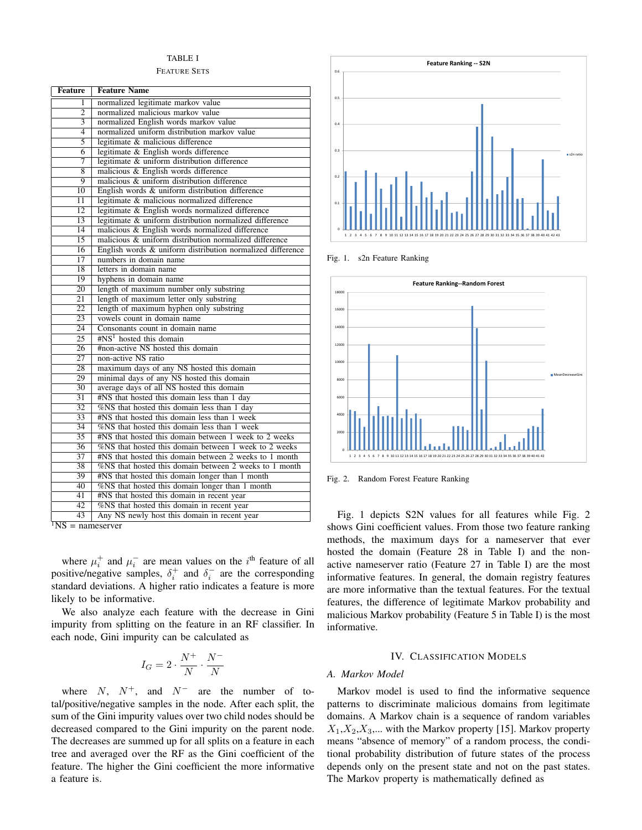# TABLE I

FEATURE SETS

| <b>Feature</b>  | <b>Feature Name</b>                                        |  |
|-----------------|------------------------------------------------------------|--|
| 1               | normalized legitimate markov value                         |  |
| $\overline{2}$  | normalized malicious markov value                          |  |
| $\overline{3}$  | normalized English words markov value                      |  |
| 4               | normalized uniform distribution markov value               |  |
| 5               | legitimate & malicious difference                          |  |
| 6               | legitimate & English words difference                      |  |
| 7               | legitimate & uniform distribution difference               |  |
| 8               | malicious & English words difference                       |  |
| 9               | malicious & uniform distribution difference                |  |
| 10              | English words & uniform distribution difference            |  |
| 11              | legitimate & malicious normalized difference               |  |
| 12              | legitimate & English words normalized difference           |  |
| 13              | legitimate & uniform distribution normalized difference    |  |
| 14              | malicious & English words normalized difference            |  |
| $\overline{15}$ | malicious & uniform distribution normalized difference     |  |
| $\overline{16}$ | English words & uniform distribution normalized difference |  |
| $\overline{17}$ | numbers in domain name                                     |  |
| $\overline{18}$ | letters in domain name                                     |  |
| $\overline{19}$ | hyphens in domain name                                     |  |
| $\overline{20}$ | length of maximum number only substring                    |  |
| 21              | length of maximum letter only substring                    |  |
| $\overline{22}$ | length of maximum hyphen only substring                    |  |
| $\overline{23}$ | vowels count in domain name                                |  |
| $\overline{24}$ | Consonants count in domain name                            |  |
| $\overline{25}$ | $#NS1$ hosted this domain                                  |  |
| 26              | #non-active NS hosted this domain                          |  |
| $\overline{27}$ | non-active NS ratio                                        |  |
| 28              | maximum days of any NS hosted this domain                  |  |
| 29              | minimal days of any NS hosted this domain                  |  |
| $\overline{30}$ | average days of all NS hosted this domain                  |  |
| 31              | #NS that hosted this domain less than 1 day                |  |
| 32              | %NS that hosted this domain less than 1 day                |  |
| 33              | #NS that hosted this domain less than 1 week               |  |
| $\overline{34}$ | %NS that hosted this domain less than 1 week               |  |
| 35              | #NS that hosted this domain between 1 week to 2 weeks      |  |
| 36              | %NS that hosted this domain between 1 week to 2 weeks      |  |
| $\overline{37}$ | #NS that hosted this domain between 2 weeks to 1 month     |  |
| 38              | %NS that hosted this domain between 2 weeks to 1 month     |  |
| 39              | #NS that hosted this domain longer than 1 month            |  |
| 40              | %NS that hosted this domain longer than 1 month            |  |
| 41              | #NS that hosted this domain in recent year                 |  |
| 42              | %NS that hosted this domain in recent year                 |  |
| $\overline{43}$ | Any NS newly host this domain in recent year               |  |



where  $\mu_i^+$  and  $\mu_i^-$  are mean values on the  $i^{\text{th}}$  feature of all positive/negative samples,  $\delta_i^+$  and  $\delta_i^-$  are the corresponding standard deviations. A higher ratio indicates a feature is more likely to be informative.

We also analyze each feature with the decrease in Gini impurity from splitting on the feature in an RF classifier. In each node, Gini impurity can be calculated as

$$
I_G = 2 \cdot \frac{N^+}{N} \cdot \frac{N^-}{N}
$$

where  $N$ ,  $N^{+}$ , and  $N^{-}$  are the number of total/positive/negative samples in the node. After each split, the sum of the Gini impurity values over two child nodes should be decreased compared to the Gini impurity on the parent node. The decreases are summed up for all splits on a feature in each tree and averaged over the RF as the Gini coefficient of the feature. The higher the Gini coefficient the more informative a feature is.



Fig. 1. s2n Feature Ranking



Fig. 2. Random Forest Feature Ranking

Fig. 1 depicts S2N values for all features while Fig. 2 shows Gini coefficient values. From those two feature ranking methods, the maximum days for a nameserver that ever hosted the domain (Feature 28 in Table I) and the nonactive nameserver ratio (Feature 27 in Table I) are the most informative features. In general, the domain registry features are more informative than the textual features. For the textual features, the difference of legitimate Markov probability and malicious Markov probability (Feature 5 in Table I) is the most informative.

# IV. CLASSIFICATION MODELS

# *A. Markov Model*

Markov model is used to find the informative sequence patterns to discriminate malicious domains from legitimate domains. A Markov chain is a sequence of random variables  $X_1, X_2, X_3, \ldots$  with the Markov property [15]. Markov property means "absence of memory" of a random process, the conditional probability distribution of future states of the process depends only on the present state and not on the past states. The Markov property is mathematically defined as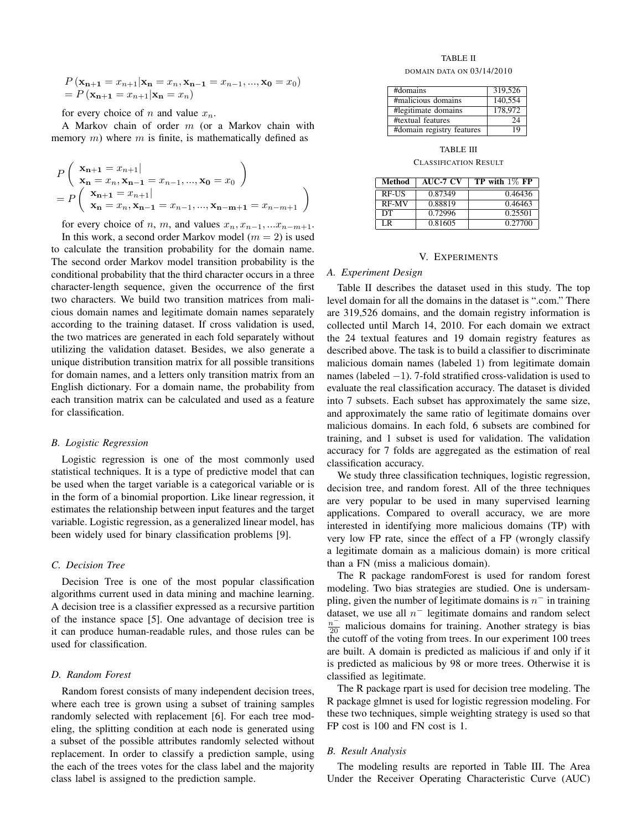$$
P(\mathbf{x_{n+1}} = x_{n+1} | \mathbf{x_n} = x_n, \mathbf{x_{n-1}} = x_{n-1}, ..., \mathbf{x_0} = x_0)
$$
  
=  $P(\mathbf{x_{n+1}} = x_{n+1} | \mathbf{x_n} = x_n)$ 

for every choice of n and value  $x_n$ .

A Markov chain of order m (or a Markov chain with memory  $m$ ) where  $m$  is finite, is mathematically defined as

$$
P\left(\begin{array}{l}\mathbf{x_{n+1}} = x_{n+1} |\\ \mathbf{x_n} = x_n, \mathbf{x_{n-1}} = x_{n-1}, ..., \mathbf{x_0} = x_0\end{array}\right)
$$
  
=  $P\left(\begin{array}{l}\mathbf{x_{n+1}} = x_{n+1} |\\ \mathbf{x_n} = x_n, \mathbf{x_{n-1}} = x_{n-1}, ..., \mathbf{x_{n-m+1}} = x_{n-m+1}\end{array}\right)$ 

for every choice of n, m, and values  $x_n, x_{n-1}, ... x_{n-m+1}$ .

In this work, a second order Markov model ( $m = 2$ ) is used to calculate the transition probability for the domain name. The second order Markov model transition probability is the conditional probability that the third character occurs in a three character-length sequence, given the occurrence of the first two characters. We build two transition matrices from malicious domain names and legitimate domain names separately according to the training dataset. If cross validation is used, the two matrices are generated in each fold separately without utilizing the validation dataset. Besides, we also generate a unique distribution transition matrix for all possible transitions for domain names, and a letters only transition matrix from an English dictionary. For a domain name, the probability from each transition matrix can be calculated and used as a feature for classification.

#### *B. Logistic Regression*

Logistic regression is one of the most commonly used statistical techniques. It is a type of predictive model that can be used when the target variable is a categorical variable or is in the form of a binomial proportion. Like linear regression, it estimates the relationship between input features and the target variable. Logistic regression, as a generalized linear model, has been widely used for binary classification problems [9].

# *C. Decision Tree*

Decision Tree is one of the most popular classification algorithms current used in data mining and machine learning. A decision tree is a classifier expressed as a recursive partition of the instance space [5]. One advantage of decision tree is it can produce human-readable rules, and those rules can be used for classification.

# *D. Random Forest*

Random forest consists of many independent decision trees, where each tree is grown using a subset of training samples randomly selected with replacement [6]. For each tree modeling, the splitting condition at each node is generated using a subset of the possible attributes randomly selected without replacement. In order to classify a prediction sample, using the each of the trees votes for the class label and the majority class label is assigned to the prediction sample.

TABLE II DOMAIN DATA ON 03/14/2010

| #domains                  | 319.526 |
|---------------------------|---------|
| #malicious domains        | 140,554 |
| #legitimate domains       | 178,972 |
| #textual features         | 24      |
| #domain registry features | 19      |

TABLE III CLASSIFICATION RESULT

| Method       | AUC-7 CV | $TP$ with $1\%$ FP |
|--------------|----------|--------------------|
| RF-US        | 0.87349  | 0.46436            |
| <b>RF-MV</b> | 0.88819  | 0.46463            |
| DT           | 0.72996  | 0.25501            |
| I R          | 0.81605  | 0.27700            |

#### V. EXPERIMENTS

#### *A. Experiment Design*

Table II describes the dataset used in this study. The top level domain for all the domains in the dataset is ".com." There are 319,526 domains, and the domain registry information is collected until March 14, 2010. For each domain we extract the 24 textual features and 19 domain registry features as described above. The task is to build a classifier to discriminate malicious domain names (labeled 1) from legitimate domain names (labeled −1). 7-fold stratified cross-validation is used to evaluate the real classification accuracy. The dataset is divided into 7 subsets. Each subset has approximately the same size, and approximately the same ratio of legitimate domains over malicious domains. In each fold, 6 subsets are combined for training, and 1 subset is used for validation. The validation accuracy for 7 folds are aggregated as the estimation of real classification accuracy.

We study three classification techniques, logistic regression, decision tree, and random forest. All of the three techniques are very popular to be used in many supervised learning applications. Compared to overall accuracy, we are more interested in identifying more malicious domains (TP) with very low FP rate, since the effect of a FP (wrongly classify a legitimate domain as a malicious domain) is more critical than a FN (miss a malicious domain).

The R package randomForest is used for random forest modeling. Two bias strategies are studied. One is undersampling, given the number of legitimate domains is  $n^-$  in training dataset, we use all  $n<sup>-</sup>$  legitimate domains and random select  $\frac{n}{20}$  malicious domains for training. Another strategy is bias the cutoff of the voting from trees. In our experiment 100 trees are built. A domain is predicted as malicious if and only if it is predicted as malicious by 98 or more trees. Otherwise it is classified as legitimate.

The R package rpart is used for decision tree modeling. The R package glmnet is used for logistic regression modeling. For these two techniques, simple weighting strategy is used so that FP cost is 100 and FN cost is 1.

#### *B. Result Analysis*

The modeling results are reported in Table III. The Area Under the Receiver Operating Characteristic Curve (AUC)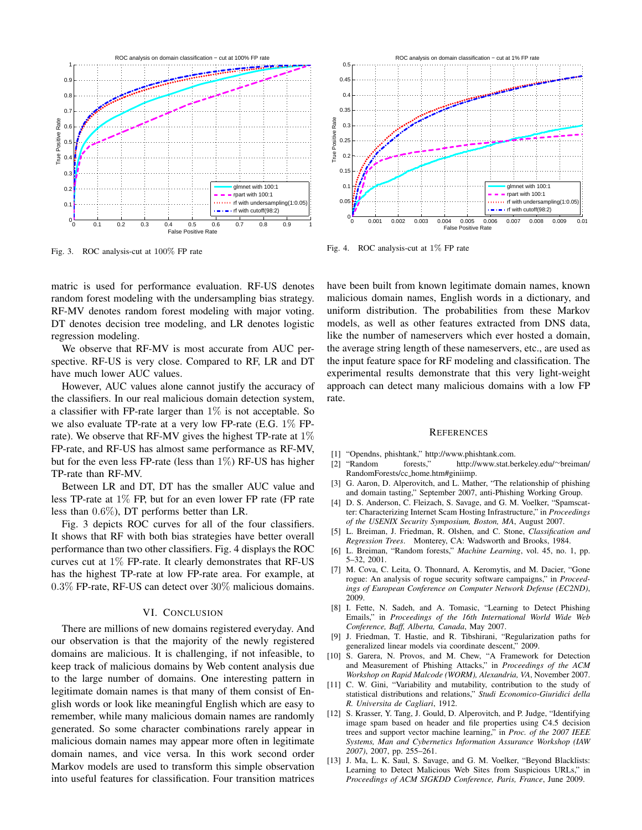

Fig. 3. ROC analysis-cut at 100% FP rate

matric is used for performance evaluation. RF-US denotes random forest modeling with the undersampling bias strategy. RF-MV denotes random forest modeling with major voting. DT denotes decision tree modeling, and LR denotes logistic regression modeling.

We observe that RF-MV is most accurate from AUC perspective. RF-US is very close. Compared to RF, LR and DT have much lower AUC values.

However, AUC values alone cannot justify the accuracy of the classifiers. In our real malicious domain detection system, a classifier with FP-rate larger than  $1\%$  is not acceptable. So we also evaluate TP-rate at a very low FP-rate (E.G. 1% FPrate). We observe that RF-MV gives the highest TP-rate at  $1\%$ FP-rate, and RF-US has almost same performance as RF-MV, but for the even less FP-rate (less than  $1\%$ ) RF-US has higher TP-rate than RF-MV.

Between LR and DT, DT has the smaller AUC value and less TP-rate at  $1\%$  FP, but for an even lower FP rate (FP rate less than 0.6%), DT performs better than LR.

Fig. 3 depicts ROC curves for all of the four classifiers. It shows that RF with both bias strategies have better overall performance than two other classifiers. Fig. 4 displays the ROC curves cut at 1% FP-rate. It clearly demonstrates that RF-US has the highest TP-rate at low FP-rate area. For example, at 0.3% FP-rate, RF-US can detect over 30% malicious domains.

## VI. CONCLUSION

There are millions of new domains registered everyday. And our observation is that the majority of the newly registered domains are malicious. It is challenging, if not infeasible, to keep track of malicious domains by Web content analysis due to the large number of domains. One interesting pattern in legitimate domain names is that many of them consist of English words or look like meaningful English which are easy to remember, while many malicious domain names are randomly generated. So some character combinations rarely appear in malicious domain names may appear more often in legitimate domain names, and vice versa. In this work second order Markov models are used to transform this simple observation into useful features for classification. Four transition matrices



Fig. 4. ROC analysis-cut at 1% FP rate

have been built from known legitimate domain names, known malicious domain names, English words in a dictionary, and uniform distribution. The probabilities from these Markov models, as well as other features extracted from DNS data, like the number of nameservers which ever hosted a domain, the average string length of these nameservers, etc., are used as the input feature space for RF modeling and classification. The experimental results demonstrate that this very light-weight approach can detect many malicious domains with a low FP rate.

#### **REFERENCES**

- [1] "Opendns, phishtank," http://www.phishtank.com.
- [2] "Random forests," http://www.stat.berkeley.edu/∼breiman/ RandomForests/cc home.htm#giniimp.
- [3] G. Aaron, D. Alperovitch, and L. Mather, "The relationship of phishing and domain tasting," September 2007, anti-Phishing Working Group.
- [4] D. S. Anderson, C. Fleizach, S. Savage, and G. M. Voelker, "Spamscatter: Characterizing Internet Scam Hosting Infrastructure," in *Proceedings of the USENIX Security Symposium, Boston, MA*, August 2007.
- [5] L. Breiman, J. Friedman, R. Olshen, and C. Stone, *Classification and Regression Trees*. Monterey, CA: Wadsworth and Brooks, 1984.
- [6] L. Breiman, "Random forests," *Machine Learning*, vol. 45, no. 1, pp. 5–32, 2001.
- [7] M. Cova, C. Leita, O. Thonnard, A. Keromytis, and M. Dacier, "Gone rogue: An analysis of rogue security software campaigns," in *Proceedings of European Conference on Computer Network Defense (EC2ND)*, 2009.
- [8] I. Fette, N. Sadeh, and A. Tomasic, "Learning to Detect Phishing Emails," in *Proceedings of the 16th International World Wide Web Conference, Baff, Alberta, Canada*, May 2007.
- [9] J. Friedman, T. Hastie, and R. Tibshirani, "Regularization paths for generalized linear models via coordinate descent," 2009.
- [10] S. Garera, N. Provos, and M. Chew, "A Framework for Detection and Measurement of Phishing Attacks," in *Proceedings of the ACM Workshop on Rapid Malcode (WORM), Alexandria, VA*, November 2007.
- [11] C. W. Gini, "Variability and mutability, contribution to the study of statistical distributions and relations," *Studi Economico-Giuridici della R. Universita de Cagliari*, 1912.
- [12] S. Krasser, Y. Tang, J. Gould, D. Alperovitch, and P. Judge, "Identifying image spam based on header and file properties using C4.5 decision trees and support vector machine learning," in *Proc. of the 2007 IEEE Systems, Man and Cybernetics Information Assurance Workshop (IAW 2007)*, 2007, pp. 255–261.
- [13] J. Ma, L. K. Saul, S. Savage, and G. M. Voelker, "Beyond Blacklists: Learning to Detect Malicious Web Sites from Suspicious URLs," in *Proceedings of ACM SIGKDD Conference, Paris, France*, June 2009.